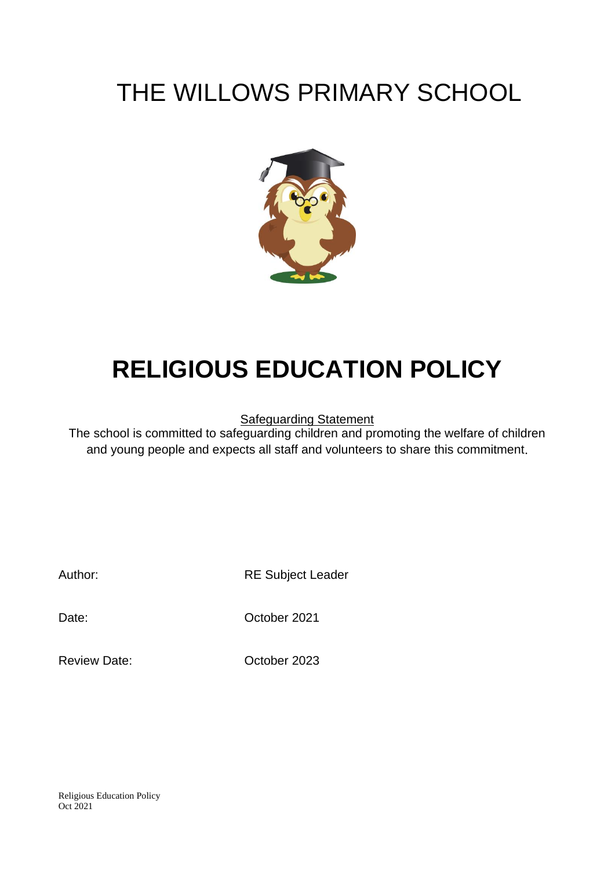## THE WILLOWS PRIMARY SCHOOL



# **RELIGIOUS EDUCATION POLICY**

Safeguarding Statement

The school is committed to safeguarding children and promoting the welfare of children and young people and expects all staff and volunteers to share this commitment.

Author: RE Subject Leader

Date: October 2021

Review Date: Contract Corp. No. 2023

Religious Education Policy Oct 2021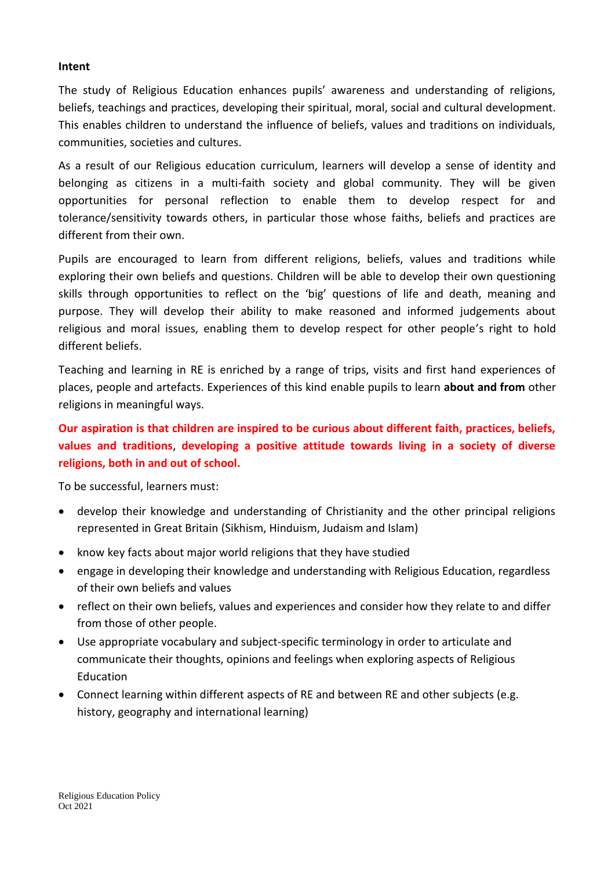### **Intent**

The study of Religious Education enhances pupils' awareness and understanding of religions, beliefs, teachings and practices, developing their spiritual, moral, social and cultural development. This enables children to understand the influence of beliefs, values and traditions on individuals, communities, societies and cultures.

As a result of our Religious education curriculum, learners will develop a sense of identity and belonging as citizens in a multi-faith society and global community. They will be given opportunities for personal reflection to enable them to develop respect for and tolerance/sensitivity towards others, in particular those whose faiths, beliefs and practices are different from their own.

Pupils are encouraged to learn from different religions, beliefs, values and traditions while exploring their own beliefs and questions. Children will be able to develop their own questioning skills through opportunities to reflect on the 'big' questions of life and death, meaning and purpose. They will develop their ability to make reasoned and informed judgements about religious and moral issues, enabling them to develop respect for other people's right to hold different beliefs.

Teaching and learning in RE is enriched by a range of trips, visits and first hand experiences of places, people and artefacts. Experiences of this kind enable pupils to learn **about and from** other religions in meaningful ways.

### **Our aspiration is that children are inspired to be curious about different faith, practices, beliefs, values and traditions**, **developing a positive attitude towards living in a society of diverse religions, both in and out of school.**

To be successful, learners must:

- develop their knowledge and understanding of Christianity and the other principal religions represented in Great Britain (Sikhism, Hinduism, Judaism and Islam)
- know key facts about major world religions that they have studied
- engage in developing their knowledge and understanding with Religious Education, regardless of their own beliefs and values
- reflect on their own beliefs, values and experiences and consider how they relate to and differ from those of other people.
- Use appropriate vocabulary and subject-specific terminology in order to articulate and communicate their thoughts, opinions and feelings when exploring aspects of Religious Education
- Connect learning within different aspects of RE and between RE and other subjects (e.g. history, geography and international learning)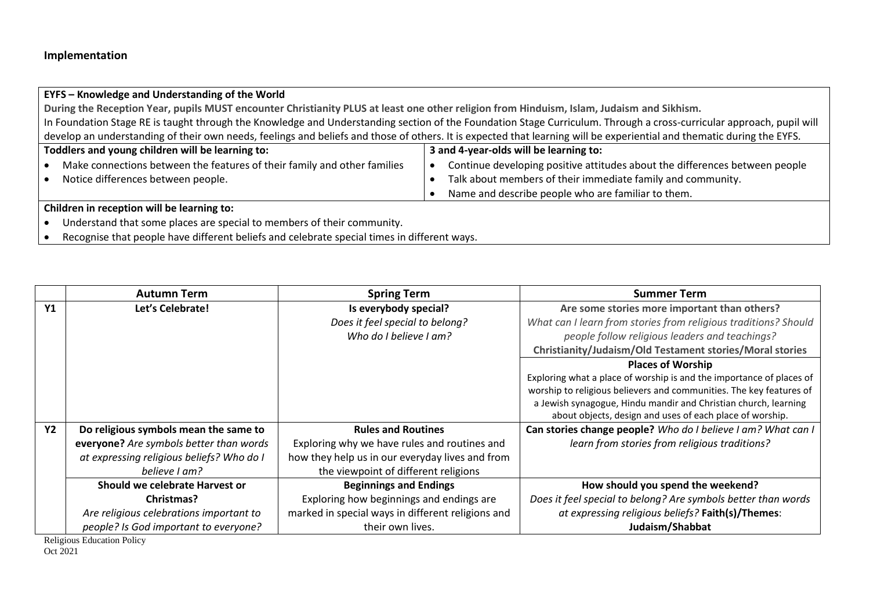### **EYFS – Knowledge and Understanding of the World**

**During the Reception Year, pupils MUST encounter Christianity PLUS at least one other religion from Hinduism, Islam, Judaism and Sikhism.** In Foundation Stage RE is taught through the Knowledge and Understanding section of the Foundation Stage Curriculum. Through a cross-curricular approach, pupil will develop an understanding of their own needs, feelings and beliefs and those of others. It is expected that learning will be experiential and thematic during the EYFS.

| Toddlers and young children will be learning to: |                                                                          | 3 and 4-year-olds will be learning to: |                                                                             |
|--------------------------------------------------|--------------------------------------------------------------------------|----------------------------------------|-----------------------------------------------------------------------------|
|                                                  | Make connections between the features of their family and other families |                                        | Continue developing positive attitudes about the differences between people |
|                                                  | Notice differences between people.                                       |                                        | Talk about members of their immediate family and community.                 |
|                                                  |                                                                          |                                        | Name and describe people who are familiar to them.                          |

### **Children in reception will be learning to:**

• Understand that some places are special to members of their community.

• Recognise that people have different beliefs and celebrate special times in different ways.

|                | <b>Autumn Term</b>                        | <b>Spring Term</b>                                | <b>Summer Term</b>                                                   |
|----------------|-------------------------------------------|---------------------------------------------------|----------------------------------------------------------------------|
| Y <sub>1</sub> | Let's Celebrate!                          | Is everybody special?                             | Are some stories more important than others?                         |
|                |                                           | Does it feel special to belong?                   | What can I learn from stories from religious traditions? Should      |
|                |                                           | Who do I believe I am?                            | people follow religious leaders and teachings?                       |
|                |                                           |                                                   | Christianity/Judaism/Old Testament stories/Moral stories             |
|                |                                           |                                                   | <b>Places of Worship</b>                                             |
|                |                                           |                                                   | Exploring what a place of worship is and the importance of places of |
|                |                                           |                                                   | worship to religious believers and communities. The key features of  |
|                |                                           |                                                   | a Jewish synagogue, Hindu mandir and Christian church, learning      |
|                |                                           |                                                   | about objects, design and uses of each place of worship.             |
| <b>Y2</b>      | Do religious symbols mean the same to     | <b>Rules and Routines</b>                         | Can stories change people? Who do I believe I am? What can I         |
|                | everyone? Are symbols better than words   | Exploring why we have rules and routines and      | learn from stories from religious traditions?                        |
|                | at expressing religious beliefs? Who do I | how they help us in our everyday lives and from   |                                                                      |
|                | believe Lam?                              | the viewpoint of different religions              |                                                                      |
|                | Should we celebrate Harvest or            | <b>Beginnings and Endings</b>                     | How should you spend the weekend?                                    |
|                | Christmas?                                | Exploring how beginnings and endings are          | Does it feel special to belong? Are symbols better than words        |
|                | Are religious celebrations important to   | marked in special ways in different religions and | at expressing religious beliefs? Faith(s)/Themes:                    |
|                | people? Is God important to everyone?     | their own lives.                                  | Judaism/Shabbat                                                      |

Religious Education Policy Oct 2021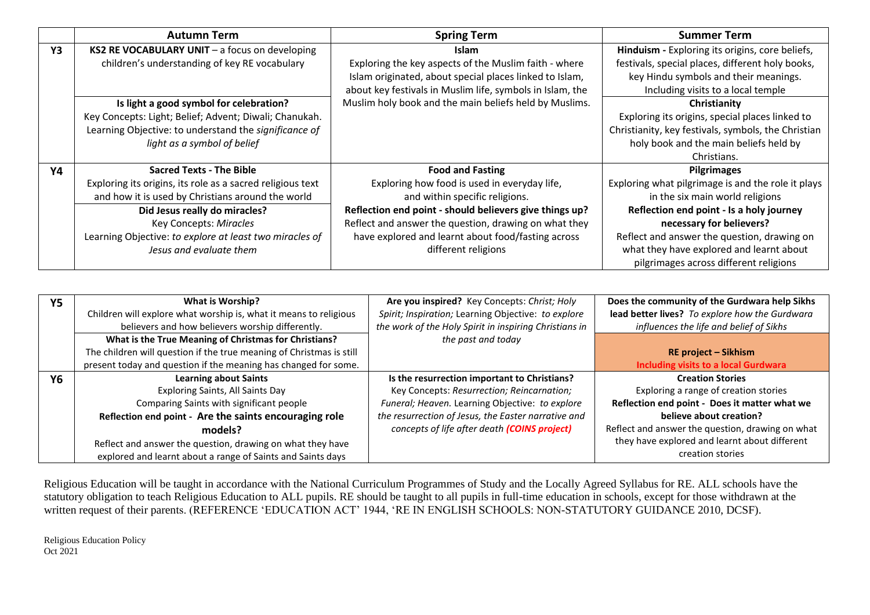|    | <b>Autumn Term</b>                                         | <b>Spring Term</b>                                        | <b>Summer Term</b>                                  |
|----|------------------------------------------------------------|-----------------------------------------------------------|-----------------------------------------------------|
| Y3 | KS2 RE VOCABULARY UNIT $-$ a focus on developing           | <b>Islam</b>                                              | Hinduism - Exploring its origins, core beliefs,     |
|    | children's understanding of key RE vocabulary              | Exploring the key aspects of the Muslim faith - where     | festivals, special places, different holy books,    |
|    |                                                            | Islam originated, about special places linked to Islam,   | key Hindu symbols and their meanings.               |
|    |                                                            | about key festivals in Muslim life, symbols in Islam, the | Including visits to a local temple                  |
|    | Is light a good symbol for celebration?                    | Muslim holy book and the main beliefs held by Muslims.    | Christianity                                        |
|    | Key Concepts: Light; Belief; Advent; Diwali; Chanukah.     |                                                           | Exploring its origins, special places linked to     |
|    | Learning Objective: to understand the significance of      |                                                           | Christianity, key festivals, symbols, the Christian |
|    | light as a symbol of belief                                |                                                           | holy book and the main beliefs held by              |
|    |                                                            |                                                           | Christians.                                         |
| Υ4 | <b>Sacred Texts - The Bible</b>                            | <b>Food and Fasting</b>                                   | <b>Pilgrimages</b>                                  |
|    | Exploring its origins, its role as a sacred religious text | Exploring how food is used in everyday life,              | Exploring what pilgrimage is and the role it plays  |
|    | and how it is used by Christians around the world          | and within specific religions.                            | in the six main world religions                     |
|    | Did Jesus really do miracles?                              | Reflection end point - should believers give things up?   | Reflection end point - Is a holy journey            |
|    | Key Concepts: Miracles                                     | Reflect and answer the question, drawing on what they     | necessary for believers?                            |
|    | Learning Objective: to explore at least two miracles of    | have explored and learnt about food/fasting across        | Reflect and answer the question, drawing on         |
|    | Jesus and evaluate them                                    | different religions                                       | what they have explored and learnt about            |
|    |                                                            |                                                           | pilgrimages across different religions              |

| <b>Y5</b> | What is Worship?                                                     | Are you inspired? Key Concepts: Christ; Holy           | Does the community of the Gurdwara help Sikhs    |
|-----------|----------------------------------------------------------------------|--------------------------------------------------------|--------------------------------------------------|
|           | Children will explore what worship is, what it means to religious    | Spirit; Inspiration; Learning Objective: to explore    | lead better lives? To explore how the Gurdwara   |
|           | believers and how believers worship differently.                     | the work of the Holy Spirit in inspiring Christians in | influences the life and belief of Sikhs          |
|           | What is the True Meaning of Christmas for Christians?                | the past and today                                     |                                                  |
|           | The children will question if the true meaning of Christmas is still |                                                        | <b>RE project – Sikhism</b>                      |
|           | present today and question if the meaning has changed for some.      |                                                        | <b>Including visits to a local Gurdwara</b>      |
| Υ6        | <b>Learning about Saints</b>                                         | Is the resurrection important to Christians?           | <b>Creation Stories</b>                          |
|           | Exploring Saints, All Saints Day                                     | Key Concepts: Resurrection; Reincarnation;             | Exploring a range of creation stories            |
|           | Comparing Saints with significant people                             | Funeral; Heaven. Learning Objective: to explore        | Reflection end point - Does it matter what we    |
|           | Reflection end point - Are the saints encouraging role               | the resurrection of Jesus, the Easter narrative and    | believe about creation?                          |
|           | models?                                                              | concepts of life after death (COINS project)           | Reflect and answer the question, drawing on what |
|           | Reflect and answer the question, drawing on what they have           |                                                        | they have explored and learnt about different    |
|           | explored and learnt about a range of Saints and Saints days          |                                                        | creation stories                                 |

Religious Education will be taught in accordance with the National Curriculum Programmes of Study and the Locally Agreed Syllabus for RE. ALL schools have the statutory obligation to teach Religious Education to ALL pupils. RE should be taught to all pupils in full-time education in schools, except for those withdrawn at the written request of their parents. (REFERENCE 'EDUCATION ACT' 1944, 'RE IN ENGLISH SCHOOLS: NON-STATUTORY GUIDANCE 2010, DCSF).

Religious Education Policy Oct 2021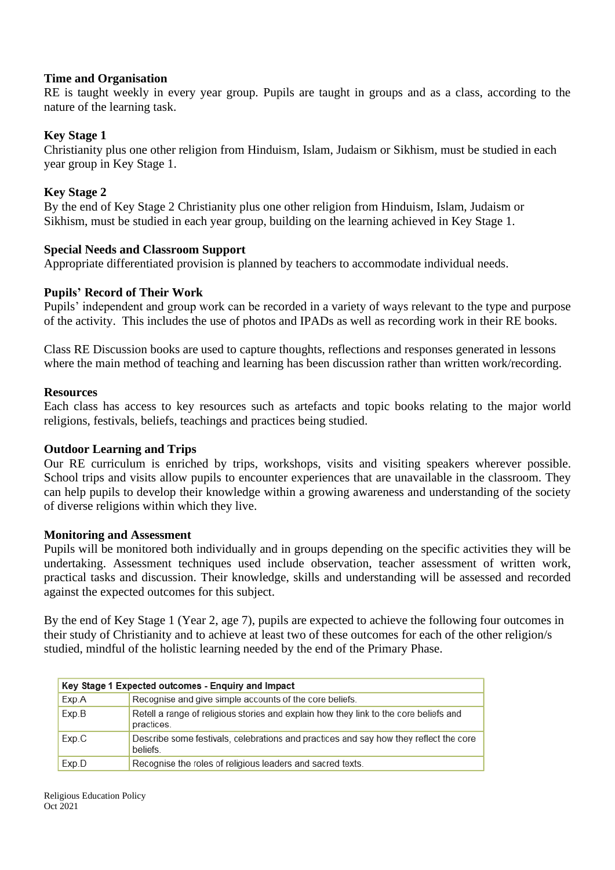### **Time and Organisation**

RE is taught weekly in every year group. Pupils are taught in groups and as a class, according to the nature of the learning task.

### **Key Stage 1**

Christianity plus one other religion from Hinduism, Islam, Judaism or Sikhism, must be studied in each year group in Key Stage 1.

### **Key Stage 2**

By the end of Key Stage 2 Christianity plus one other religion from Hinduism, Islam, Judaism or Sikhism, must be studied in each year group, building on the learning achieved in Key Stage 1.

### **Special Needs and Classroom Support**

Appropriate differentiated provision is planned by teachers to accommodate individual needs.

### **Pupils' Record of Their Work**

Pupils' independent and group work can be recorded in a variety of ways relevant to the type and purpose of the activity. This includes the use of photos and IPADs as well as recording work in their RE books.

Class RE Discussion books are used to capture thoughts, reflections and responses generated in lessons where the main method of teaching and learning has been discussion rather than written work/recording.

### **Resources**

Each class has access to key resources such as artefacts and topic books relating to the major world religions, festivals, beliefs, teachings and practices being studied.

### **Outdoor Learning and Trips**

Our RE curriculum is enriched by trips, workshops, visits and visiting speakers wherever possible. School trips and visits allow pupils to encounter experiences that are unavailable in the classroom. They can help pupils to develop their knowledge within a growing awareness and understanding of the society of diverse religions within which they live.

### **Monitoring and Assessment**

Pupils will be monitored both individually and in groups depending on the specific activities they will be undertaking. Assessment techniques used include observation, teacher assessment of written work, practical tasks and discussion. Their knowledge, skills and understanding will be assessed and recorded against the expected outcomes for this subject.

By the end of Key Stage 1 (Year 2, age 7), pupils are expected to achieve the following four outcomes in their study of Christianity and to achieve at least two of these outcomes for each of the other religion/s studied, mindful of the holistic learning needed by the end of the Primary Phase.

| Key Stage 1 Expected outcomes - Enquiry and Impact |                                                                                                     |  |
|----------------------------------------------------|-----------------------------------------------------------------------------------------------------|--|
| Exp.A                                              | Recognise and give simple accounts of the core beliefs.                                             |  |
| Exp.B                                              | Retell a range of religious stories and explain how they link to the core beliefs and<br>practices. |  |
| Exp.C                                              | Describe some festivals, celebrations and practices and say how they reflect the core<br>beliefs.   |  |
| Exp.D                                              | Recognise the roles of religious leaders and sacred texts.                                          |  |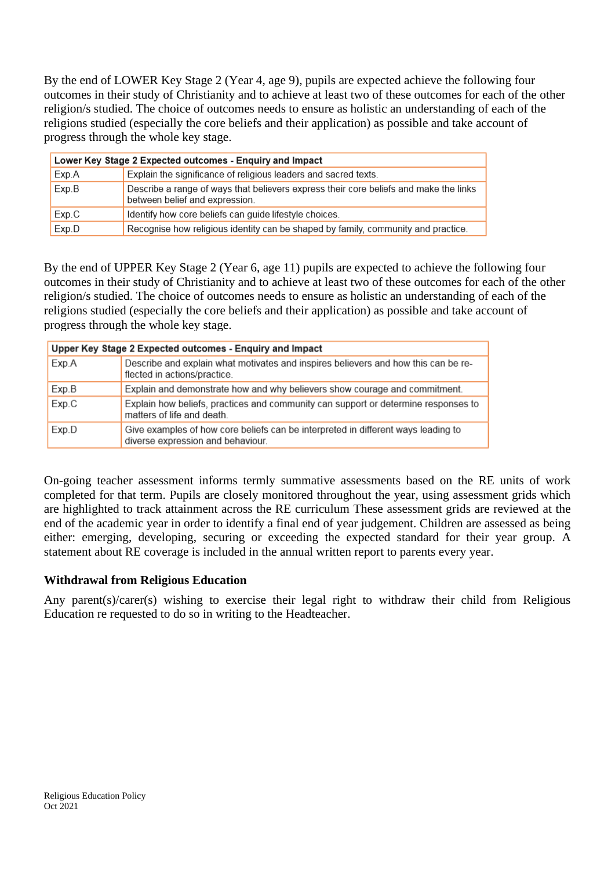By the end of LOWER Key Stage 2 (Year 4, age 9), pupils are expected achieve the following four outcomes in their study of Christianity and to achieve at least two of these outcomes for each of the other religion/s studied. The choice of outcomes needs to ensure as holistic an understanding of each of the religions studied (especially the core beliefs and their application) as possible and take account of progress through the whole key stage.

| Lower Key Stage 2 Expected outcomes - Enquiry and Impact                 |                                                                                                                         |  |
|--------------------------------------------------------------------------|-------------------------------------------------------------------------------------------------------------------------|--|
| Explain the significance of religious leaders and sacred texts.<br>Exp.A |                                                                                                                         |  |
| Exp.B                                                                    | Describe a range of ways that believers express their core beliefs and make the links<br>between belief and expression. |  |
| Exp.C                                                                    | Identify how core beliefs can guide lifestyle choices.                                                                  |  |
| Exp.D                                                                    | Recognise how religious identity can be shaped by family, community and practice.                                       |  |

By the end of UPPER Key Stage 2 (Year 6, age 11) pupils are expected to achieve the following four outcomes in their study of Christianity and to achieve at least two of these outcomes for each of the other religion/s studied. The choice of outcomes needs to ensure as holistic an understanding of each of the religions studied (especially the core beliefs and their application) as possible and take account of progress through the whole key stage.

| Upper Key Stage 2 Expected outcomes - Enquiry and Impact |                                                                                                                        |  |
|----------------------------------------------------------|------------------------------------------------------------------------------------------------------------------------|--|
| Exp.A                                                    | Describe and explain what motivates and inspires believers and how this can be re-<br>flected in actions/practice.     |  |
| Exp.B                                                    | Explain and demonstrate how and why believers show courage and commitment.                                             |  |
| Exp.C                                                    | Explain how beliefs, practices and community can support or determine responses to<br>matters of life and death.       |  |
| Exp.D                                                    | Give examples of how core beliefs can be interpreted in different ways leading to<br>diverse expression and behaviour. |  |

On-going teacher assessment informs termly summative assessments based on the RE units of work completed for that term. Pupils are closely monitored throughout the year, using assessment grids which are highlighted to track attainment across the RE curriculum These assessment grids are reviewed at the end of the academic year in order to identify a final end of year judgement. Children are assessed as being either: emerging, developing, securing or exceeding the expected standard for their year group. A statement about RE coverage is included in the annual written report to parents every year.

### **Withdrawal from Religious Education**

Any parent(s)/carer(s) wishing to exercise their legal right to withdraw their child from Religious Education re requested to do so in writing to the Headteacher.